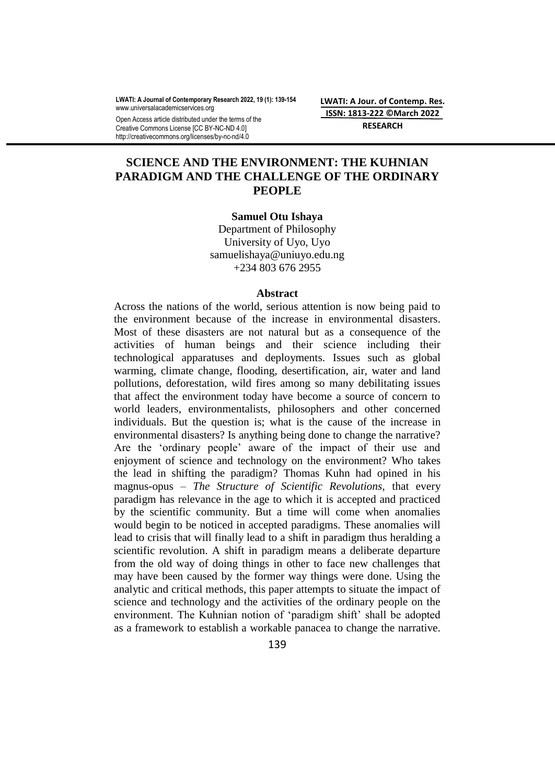**LWATI: A Journal of Contemporary Research 2022, 19 (1): 139-154** www.universalacademicservices.org

Open Access article distributed under the terms of the Creative Commons License [CC BY-NC-ND 4.0] http://creativecommons.org/licenses/by-nc-nd/4.0

**LWATI: A Jour. of Contemp. Res. ISSN: 1813-222 ©March 2022 RESEARCH**

# **SCIENCE AND THE ENVIRONMENT: THE KUHNIAN PARADIGM AND THE CHALLENGE OF THE ORDINARY PEOPLE**

#### **Samuel Otu Ishaya**

Department of Philosophy University of Uyo, Uyo [samuelishaya@uniuyo.edu.ng](mailto:samuelishaya@uniuyo.edu.ng) +234 803 676 2955

#### **Abstract**

Across the nations of the world, serious attention is now being paid to the environment because of the increase in environmental disasters. Most of these disasters are not natural but as a consequence of the activities of human beings and their science including their technological apparatuses and deployments. Issues such as global warming, climate change, flooding, desertification, air, water and land pollutions, deforestation, wild fires among so many debilitating issues that affect the environment today have become a source of concern to world leaders, environmentalists, philosophers and other concerned individuals. But the question is; what is the cause of the increase in environmental disasters? Is anything being done to change the narrative? Are the "ordinary people" aware of the impact of their use and enjoyment of science and technology on the environment? Who takes the lead in shifting the paradigm? Thomas Kuhn had opined in his magnus-opus – *The Structure of Scientific Revolutions,* that every paradigm has relevance in the age to which it is accepted and practiced by the scientific community. But a time will come when anomalies would begin to be noticed in accepted paradigms. These anomalies will lead to crisis that will finally lead to a shift in paradigm thus heralding a scientific revolution. A shift in paradigm means a deliberate departure from the old way of doing things in other to face new challenges that may have been caused by the former way things were done. Using the analytic and critical methods, this paper attempts to situate the impact of science and technology and the activities of the ordinary people on the environment. The Kuhnian notion of 'paradigm shift' shall be adopted as a framework to establish a workable panacea to change the narrative.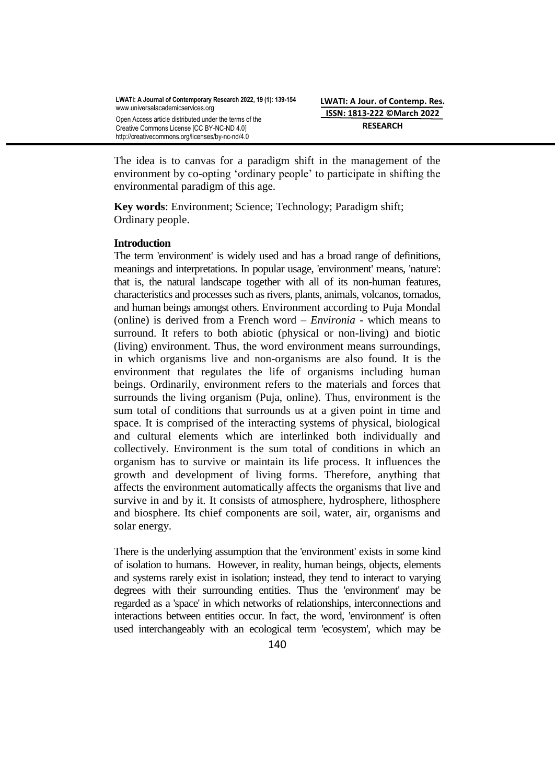The idea is to canvas for a paradigm shift in the management of the environment by co-opting "ordinary people" to participate in shifting the environmental paradigm of this age.

**Key words**: Environment; Science; Technology; Paradigm shift; Ordinary people.

### **Introduction**

The term 'environment' is widely used and has a broad range of definitions, meanings and interpretations. In popular usage, 'environment' means, 'nature': that is, the natural landscape together with all of its non-human features, characteristics and processes such as rivers, plants, animals, volcanos, tornados, and human beings amongst others. Environment according to Puja Mondal (online) is derived from a French word – *Environia* - which means to surround. It refers to both abiotic (physical or non-living) and biotic (living) environment. Thus, the word environment means surroundings, in which organisms live and non-organisms are also found. It is the environment that regulates the life of organisms including human beings. Ordinarily, environment refers to the materials and forces that surrounds the living organism (Puja, online). Thus, environment is the sum total of conditions that surrounds us at a given point in time and space. It is comprised of the interacting systems of physical, biological and cultural elements which are interlinked both individually and collectively. Environment is the sum total of conditions in which an organism has to survive or maintain its life process. It influences the growth and development of living forms. Therefore, anything that affects the environment automatically affects the organisms that live and survive in and by it. It consists of atmosphere, hydrosphere, lithosphere and biosphere. Its chief components are soil, water, air, organisms and solar energy.

There is the underlying assumption that the 'environment' exists in some kind of isolation to humans. However, in reality, human beings, objects, elements and systems rarely exist in isolation; instead, they tend to interact to varying degrees with their surrounding entities. Thus the 'environment' may be regarded as a 'space' in which networks of relationships, interconnections and interactions between entities occur. In fact, the word, 'environment' is often used interchangeably with an ecological term 'ecosystem', which may be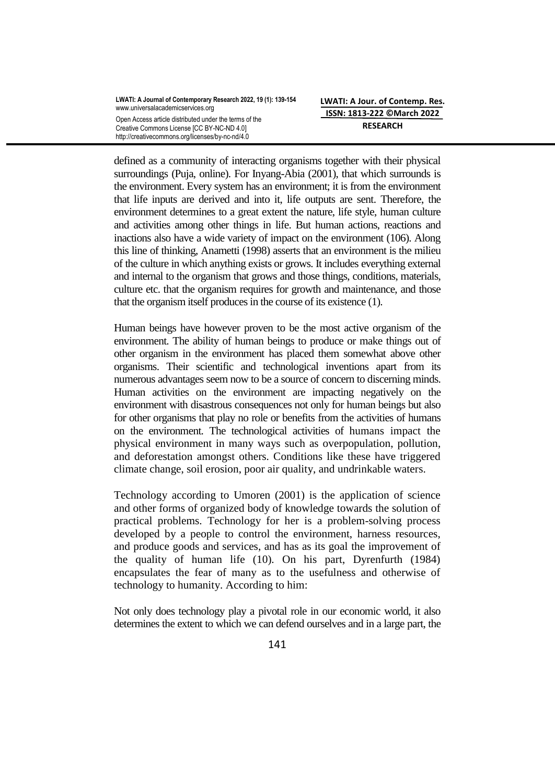defined as a community of interacting organisms together with their physical surroundings (Puja, online). For Inyang-Abia (2001), that which surrounds is the environment. Every system has an environment; it is from the environment that life inputs are derived and into it, life outputs are sent. Therefore, the environment determines to a great extent the nature, life style, human culture and activities among other things in life. But human actions, reactions and inactions also have a wide variety of impact on the environment (106). Along this line of thinking, Anametti (1998) asserts that an environment is the milieu of the culture in which anything exists or grows. It includes everything external and internal to the organism that grows and those things, conditions, materials, culture etc. that the organism requires for growth and maintenance, and those that the organism itself produces in the course of its existence (1).

Human beings have however proven to be the most active organism of the environment. The ability of human beings to produce or make things out of other organism in the environment has placed them somewhat above other organisms. Their scientific and technological inventions apart from its numerous advantages seem now to be a source of concern to discerning minds. Human activities on the environment are impacting negatively on the environment with disastrous consequences not only for human beings but also for other organisms that play no role or benefits from the activities of humans on the environment. The technological activities of humans impact the physical environment in many ways such as overpopulation, pollution, and deforestation amongst others. Conditions like these have triggered climate change, soil erosion, poor air quality, and undrinkable waters.

Technology according to Umoren (2001) is the application of science and other forms of organized body of knowledge towards the solution of practical problems. Technology for her is a problem-solving process developed by a people to control the environment, harness resources, and produce goods and services, and has as its goal the improvement of the quality of human life (10). On his part, Dyrenfurth (1984) encapsulates the fear of many as to the usefulness and otherwise of technology to humanity. According to him:

Not only does technology play a pivotal role in our economic world, it also determines the extent to which we can defend ourselves and in a large part, the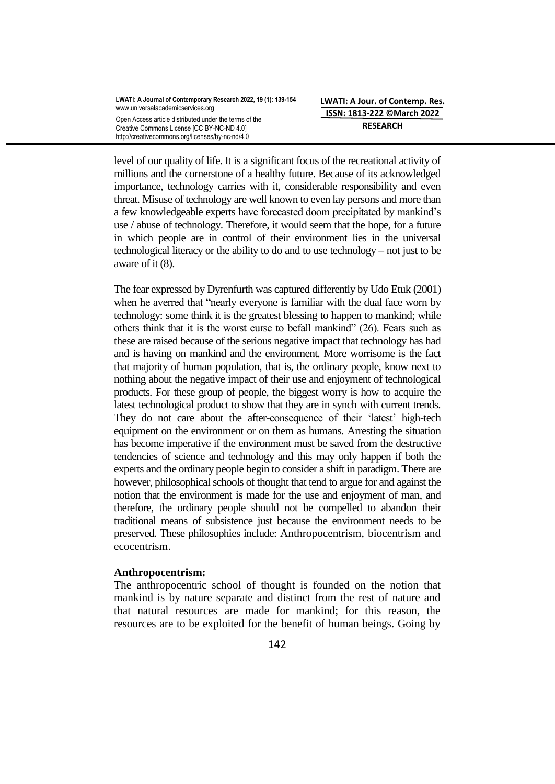level of our quality of life. It is a significant focus of the recreational activity of millions and the cornerstone of a healthy future. Because of its acknowledged importance, technology carries with it, considerable responsibility and even threat. Misuse of technology are well known to even lay persons and more than a few knowledgeable experts have forecasted doom precipitated by mankind"s use / abuse of technology. Therefore, it would seem that the hope, for a future in which people are in control of their environment lies in the universal technological literacy or the ability to do and to use technology – not just to be aware of it (8).

The fear expressed by Dyrenfurth was captured differently by Udo Etuk (2001) when he averred that "nearly everyone is familiar with the dual face worn by technology: some think it is the greatest blessing to happen to mankind; while others think that it is the worst curse to befall mankind" (26). Fears such as these are raised because of the serious negative impact that technology has had and is having on mankind and the environment. More worrisome is the fact that majority of human population, that is, the ordinary people, know next to nothing about the negative impact of their use and enjoyment of technological products. For these group of people, the biggest worry is how to acquire the latest technological product to show that they are in synch with current trends. They do not care about the after-consequence of their 'latest' high-tech equipment on the environment or on them as humans. Arresting the situation has become imperative if the environment must be saved from the destructive tendencies of science and technology and this may only happen if both the experts and the ordinary people begin to consider a shift in paradigm. There are however, philosophical schools of thought that tend to argue for and against the notion that the environment is made for the use and enjoyment of man, and therefore, the ordinary people should not be compelled to abandon their traditional means of subsistence just because the environment needs to be preserved. These philosophies include: Anthropocentrism, biocentrism and ecocentrism.

# **Anthropocentrism:**

The anthropocentric school of thought is founded on the notion that mankind is by nature separate and distinct from the rest of nature and that natural resources are made for mankind; for this reason, the resources are to be exploited for the benefit of human beings. Going by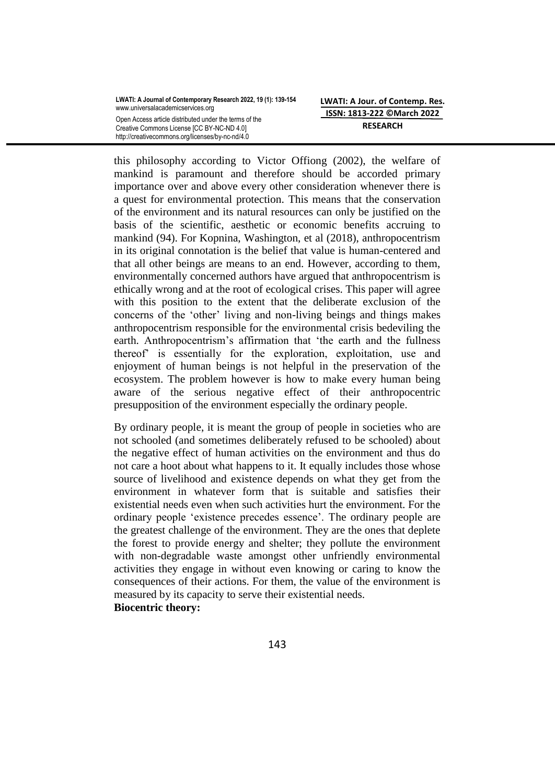this philosophy according to Victor Offiong (2002), the welfare of mankind is paramount and therefore should be accorded primary importance over and above every other consideration whenever there is a quest for environmental protection. This means that the conservation of the environment and its natural resources can only be justified on the basis of the scientific, aesthetic or economic benefits accruing to mankind (94). For Kopnina, Washington, et al (2018), anthropocentrism in its original connotation is the belief that value is human-centered and that all other beings are means to an end. However, according to them, environmentally concerned authors have argued that anthropocentrism is ethically wrong and at the root of ecological crises. This paper will agree with this position to the extent that the deliberate exclusion of the concerns of the "other" living and non-living beings and things makes anthropocentrism responsible for the environmental crisis bedeviling the earth. Anthropocentrism's affirmation that 'the earth and the fullness thereof" is essentially for the exploration, exploitation, use and enjoyment of human beings is not helpful in the preservation of the ecosystem. The problem however is how to make every human being aware of the serious negative effect of their anthropocentric presupposition of the environment especially the ordinary people.

By ordinary people, it is meant the group of people in societies who are not schooled (and sometimes deliberately refused to be schooled) about the negative effect of human activities on the environment and thus do not care a hoot about what happens to it. It equally includes those whose source of livelihood and existence depends on what they get from the environment in whatever form that is suitable and satisfies their existential needs even when such activities hurt the environment. For the ordinary people "existence precedes essence". The ordinary people are the greatest challenge of the environment. They are the ones that deplete the forest to provide energy and shelter; they pollute the environment with non-degradable waste amongst other unfriendly environmental activities they engage in without even knowing or caring to know the consequences of their actions. For them, the value of the environment is measured by its capacity to serve their existential needs.

**Biocentric theory:**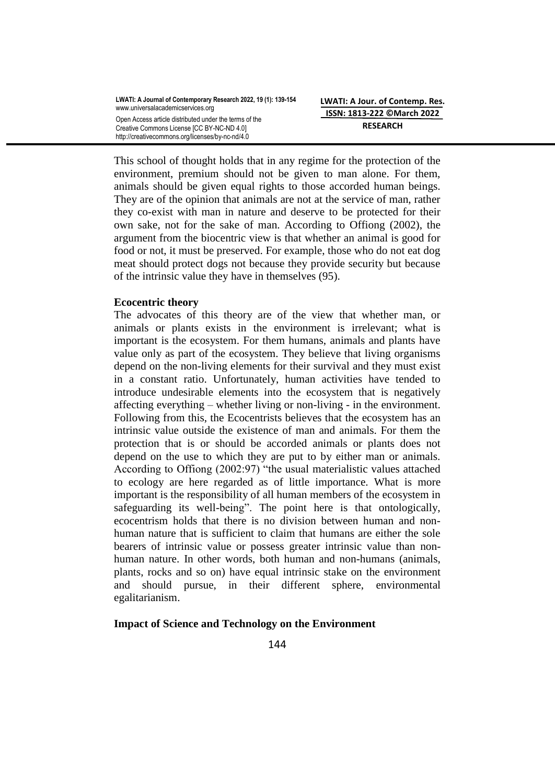This school of thought holds that in any regime for the protection of the environment, premium should not be given to man alone. For them, animals should be given equal rights to those accorded human beings. They are of the opinion that animals are not at the service of man, rather they co-exist with man in nature and deserve to be protected for their own sake, not for the sake of man. According to Offiong (2002), the argument from the biocentric view is that whether an animal is good for food or not, it must be preserved. For example, those who do not eat dog meat should protect dogs not because they provide security but because of the intrinsic value they have in themselves (95).

# **Ecocentric theory**

The advocates of this theory are of the view that whether man, or animals or plants exists in the environment is irrelevant; what is important is the ecosystem. For them humans, animals and plants have value only as part of the ecosystem. They believe that living organisms depend on the non-living elements for their survival and they must exist in a constant ratio. Unfortunately, human activities have tended to introduce undesirable elements into the ecosystem that is negatively affecting everything – whether living or non-living - in the environment. Following from this, the Ecocentrists believes that the ecosystem has an intrinsic value outside the existence of man and animals. For them the protection that is or should be accorded animals or plants does not depend on the use to which they are put to by either man or animals. According to Offiong (2002:97) "the usual materialistic values attached to ecology are here regarded as of little importance. What is more important is the responsibility of all human members of the ecosystem in safeguarding its well-being". The point here is that ontologically, ecocentrism holds that there is no division between human and nonhuman nature that is sufficient to claim that humans are either the sole bearers of intrinsic value or possess greater intrinsic value than nonhuman nature. In other words, both human and non-humans (animals, plants, rocks and so on) have equal intrinsic stake on the environment and should pursue, in their different sphere, environmental egalitarianism.

# **Impact of Science and Technology on the Environment**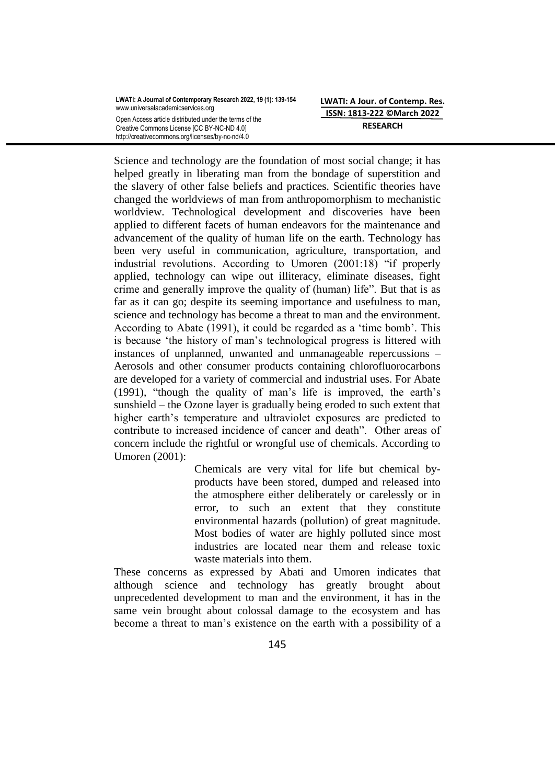| LWATI: A Journal of Contemporary Research 2022, 19 (1): 139-154<br>www.universalacademicservices.org |
|------------------------------------------------------------------------------------------------------|
| Open Access article distributed under the terms of the<br>Creative Commons License [CC BY-NC-ND 4.0] |
| http://creativecommons.org/licenses/by-nc-nd/4.0                                                     |

**LWATI: A Jour. of Contemp. Res. ISSN: 1813-222 ©March 2022 RESEARCH**

Science and technology are the foundation of most social change; it has helped greatly in liberating man from the bondage of superstition and the slavery of other false beliefs and practices. Scientific theories have changed the worldviews of man from anthropomorphism to mechanistic worldview. Technological development and discoveries have been applied to different facets of human endeavors for the maintenance and advancement of the quality of human life on the earth. Technology has been very useful in communication, agriculture, transportation, and industrial revolutions. According to Umoren (2001:18) "if properly applied, technology can wipe out illiteracy, eliminate diseases, fight crime and generally improve the quality of (human) life". But that is as far as it can go; despite its seeming importance and usefulness to man, science and technology has become a threat to man and the environment. According to Abate (1991), it could be regarded as a "time bomb". This is because "the history of man"s technological progress is littered with instances of unplanned, unwanted and unmanageable repercussions – Aerosols and other consumer products containing chlorofluorocarbons are developed for a variety of commercial and industrial uses. For Abate (1991), "though the quality of man"s life is improved, the earth"s sunshield – the Ozone layer is gradually being eroded to such extent that higher earth's temperature and ultraviolet exposures are predicted to contribute to increased incidence of cancer and death". Other areas of concern include the rightful or wrongful use of chemicals. According to Umoren (2001):

> Chemicals are very vital for life but chemical byproducts have been stored, dumped and released into the atmosphere either deliberately or carelessly or in error, to such an extent that they constitute environmental hazards (pollution) of great magnitude. Most bodies of water are highly polluted since most industries are located near them and release toxic waste materials into them.

These concerns as expressed by Abati and Umoren indicates that although science and technology has greatly brought about unprecedented development to man and the environment, it has in the same vein brought about colossal damage to the ecosystem and has become a threat to man"s existence on the earth with a possibility of a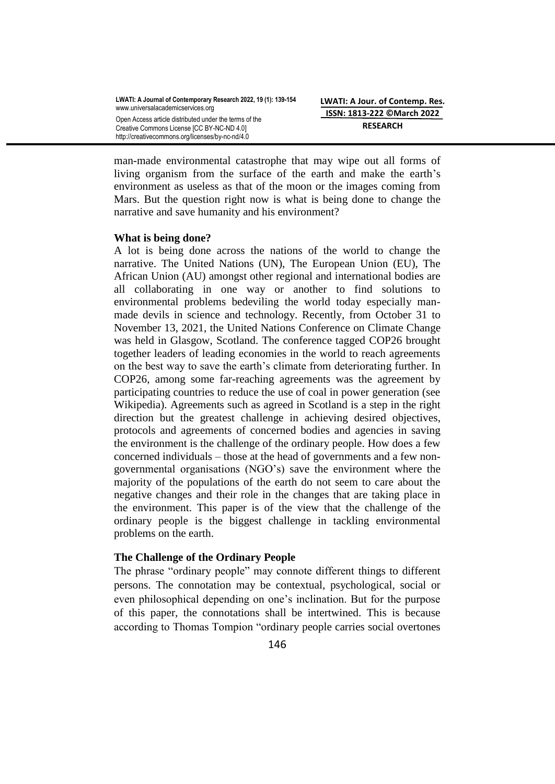man-made environmental catastrophe that may wipe out all forms of living organism from the surface of the earth and make the earth"s environment as useless as that of the moon or the images coming from Mars. But the question right now is what is being done to change the narrative and save humanity and his environment?

# **What is being done?**

A lot is being done across the nations of the world to change the narrative. The United Nations (UN), The European Union (EU), The African Union (AU) amongst other regional and international bodies are all collaborating in one way or another to find solutions to environmental problems bedeviling the world today especially manmade devils in science and technology. Recently, from October 31 to November 13, 2021, the United Nations Conference on Climate Change was held in Glasgow, Scotland. The conference tagged COP26 brought together leaders of leading economies in the world to reach agreements on the best way to save the earth's climate from deteriorating further. In COP26, among some far-reaching agreements was the agreement by participating countries to reduce the use of coal in power generation (see Wikipedia). Agreements such as agreed in Scotland is a step in the right direction but the greatest challenge in achieving desired objectives, protocols and agreements of concerned bodies and agencies in saving the environment is the challenge of the ordinary people. How does a few concerned individuals – those at the head of governments and a few nongovernmental organisations (NGO"s) save the environment where the majority of the populations of the earth do not seem to care about the negative changes and their role in the changes that are taking place in the environment. This paper is of the view that the challenge of the ordinary people is the biggest challenge in tackling environmental problems on the earth.

# **The Challenge of the Ordinary People**

The phrase "ordinary people" may connote different things to different persons. The connotation may be contextual, psychological, social or even philosophical depending on one"s inclination. But for the purpose of this paper, the connotations shall be intertwined. This is because according to Thomas Tompion "ordinary people carries social overtones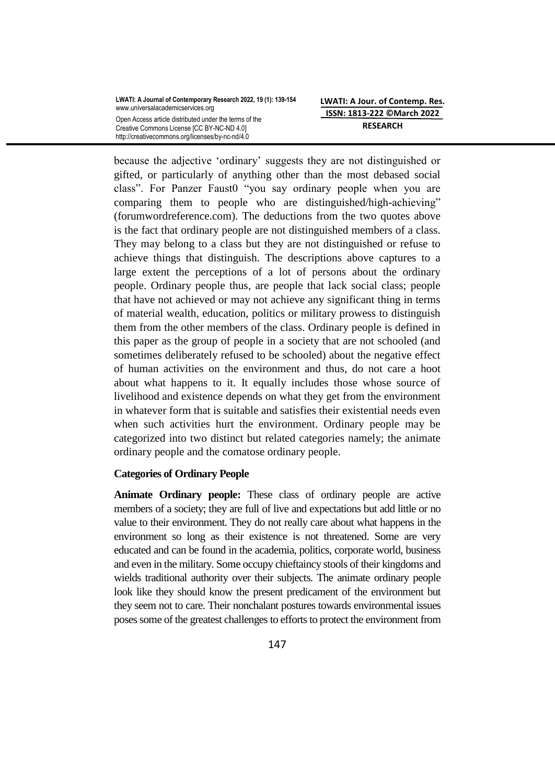| LWATI: A Journal of Contemporary Research 2022, 19 (1): 139-154<br>www.universalacademicservices.org |
|------------------------------------------------------------------------------------------------------|
| Open Access article distributed under the terms of the<br>Creative Commons License [CC BY-NC-ND 4.0] |
| http://creativecommons.org/licenses/by-nc-nd/4.0                                                     |

**LWATI: A Jour. of Contemp. Res. ISSN: 1813-222 ©March 2022 RESEARCH**

because the adjective "ordinary" suggests they are not distinguished or gifted, or particularly of anything other than the most debased social class". For Panzer Faust0 "you say ordinary people when you are comparing them to people who are distinguished/high-achieving" (forumwordreference.com). The deductions from the two quotes above is the fact that ordinary people are not distinguished members of a class. They may belong to a class but they are not distinguished or refuse to achieve things that distinguish. The descriptions above captures to a large extent the perceptions of a lot of persons about the ordinary people. Ordinary people thus, are people that lack social class; people that have not achieved or may not achieve any significant thing in terms of material wealth, education, politics or military prowess to distinguish them from the other members of the class. Ordinary people is defined in this paper as the group of people in a society that are not schooled (and sometimes deliberately refused to be schooled) about the negative effect of human activities on the environment and thus, do not care a hoot about what happens to it. It equally includes those whose source of livelihood and existence depends on what they get from the environment in whatever form that is suitable and satisfies their existential needs even when such activities hurt the environment. Ordinary people may be categorized into two distinct but related categories namely; the animate ordinary people and the comatose ordinary people.

### **Categories of Ordinary People**

**Animate Ordinary people:** These class of ordinary people are active members of a society; they are full of live and expectations but add little or no value to their environment. They do not really care about what happens in the environment so long as their existence is not threatened. Some are very educated and can be found in the academia, politics, corporate world, business and even in the military. Some occupy chieftaincy stools of their kingdoms and wields traditional authority over their subjects. The animate ordinary people look like they should know the present predicament of the environment but they seem not to care. Their nonchalant postures towards environmental issues poses some of the greatest challenges to efforts to protect the environment from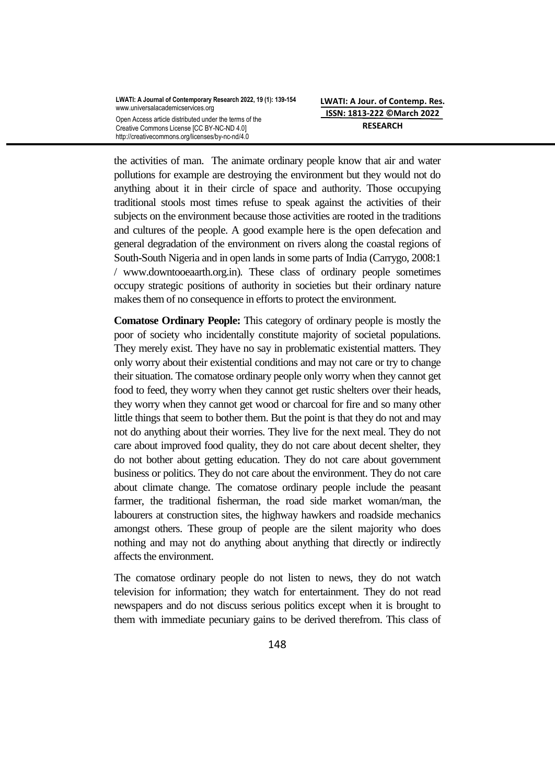the activities of man. The animate ordinary people know that air and water pollutions for example are destroying the environment but they would not do anything about it in their circle of space and authority. Those occupying traditional stools most times refuse to speak against the activities of their subjects on the environment because those activities are rooted in the traditions and cultures of the people. A good example here is the open defecation and general degradation of the environment on rivers along the coastal regions of South-South Nigeria and in open lands in some parts of India (Carrygo, 2008:1 / [www.downtooeaarth.org.in\)](http://www.downtooeaarth.org.in/). These class of ordinary people sometimes occupy strategic positions of authority in societies but their ordinary nature makes them of no consequence in efforts to protect the environment.

**Comatose Ordinary People:** This category of ordinary people is mostly the poor of society who incidentally constitute majority of societal populations. They merely exist. They have no say in problematic existential matters. They only worry about their existential conditions and may not care or try to change their situation. The comatose ordinary people only worry when they cannot get food to feed, they worry when they cannot get rustic shelters over their heads, they worry when they cannot get wood or charcoal for fire and so many other little things that seem to bother them. But the point is that they do not and may not do anything about their worries. They live for the next meal. They do not care about improved food quality, they do not care about decent shelter, they do not bother about getting education. They do not care about government business or politics. They do not care about the environment. They do not care about climate change. The comatose ordinary people include the peasant farmer, the traditional fisherman, the road side market woman/man, the labourers at construction sites, the highway hawkers and roadside mechanics amongst others. These group of people are the silent majority who does nothing and may not do anything about anything that directly or indirectly affects the environment.

The comatose ordinary people do not listen to news, they do not watch television for information; they watch for entertainment. They do not read newspapers and do not discuss serious politics except when it is brought to them with immediate pecuniary gains to be derived therefrom. This class of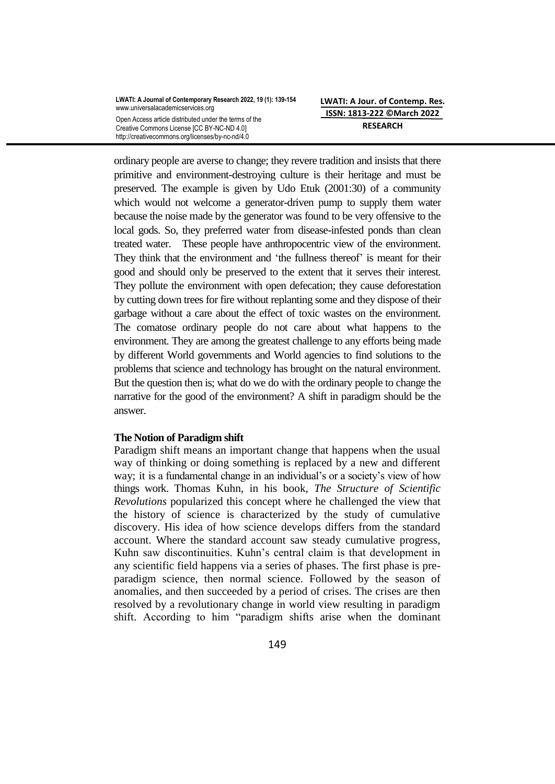ordinary people are averse to change; they revere tradition and insists that there primitive and environment-destroying culture is their heritage and must be preserved. The example is given by Udo Etuk (2001:30) of a community which would not welcome a generator-driven pump to supply them water because the noise made by the generator was found to be very offensive to the local gods. So, they preferred water from disease-infested ponds than clean treated water. These people have anthropocentric view of the environment. They think that the environment and "the fullness thereof" is meant for their good and should only be preserved to the extent that it serves their interest. They pollute the environment with open defecation; they cause deforestation by cutting down trees for fire without replanting some and they dispose of their garbage without a care about the effect of toxic wastes on the environment. The comatose ordinary people do not care about what happens to the environment. They are among the greatest challenge to any efforts being made by different World governments and World agencies to find solutions to the problems that science and technology has brought on the natural environment. But the question then is; what do we do with the ordinary people to change the narrative for the good of the environment? A shift in paradigm should be the answer.

# **The Notion of Paradigm shift**

Paradigm shift means an important change that happens when the usual way of thinking or doing something is replaced by a new and different way; it is a fundamental change in an individual's or a society's view of how things work. Thomas Kuhn, in his book, *The Structure of Scientific Revolutions* popularized this concept where he challenged the view that the history of science is characterized by the study of cumulative discovery. His idea of how science develops differs from the standard account. Where the standard account saw steady cumulative progress, Kuhn saw discontinuities. Kuhn"s central claim is that development in any scientific field happens via a series of phases. The first phase is preparadigm science, then normal science. Followed by the season of anomalies, and then succeeded by a period of crises. The crises are then resolved by a revolutionary change in world view resulting in paradigm shift. According to him "paradigm shifts arise when the dominant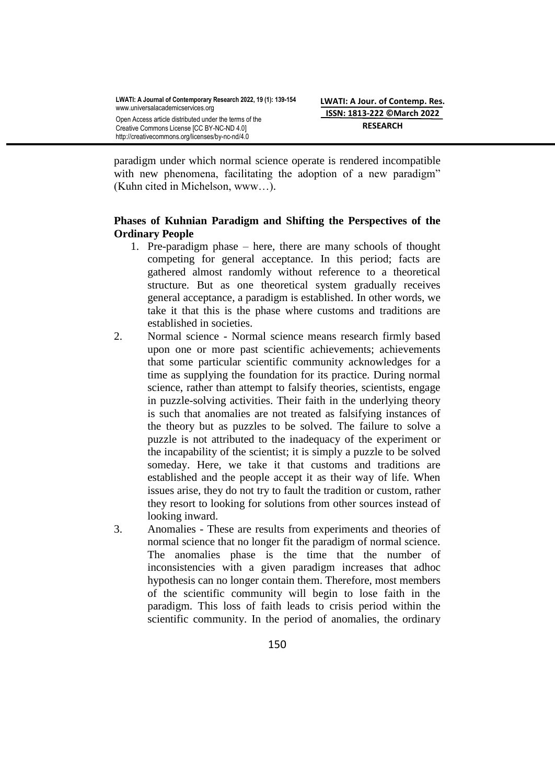paradigm under which normal science operate is rendered incompatible with new phenomena, facilitating the adoption of a new paradigm" (Kuhn cited in Michelson, www…).

# **Phases of Kuhnian Paradigm and Shifting the Perspectives of the Ordinary People**

- 1. Pre-paradigm phase here, there are many schools of thought competing for general acceptance. In this period; facts are gathered almost randomly without reference to a theoretical structure. But as one theoretical system gradually receives general acceptance, a paradigm is established. In other words, we take it that this is the phase where customs and traditions are established in societies.
- 2. Normal science Normal science means research firmly based upon one or more past scientific achievements; achievements that some particular scientific community acknowledges for a time as supplying the foundation for its practice. During normal science, rather than attempt to falsify theories, scientists, engage in puzzle-solving activities. Their faith in the underlying theory is such that anomalies are not treated as falsifying instances of the theory but as puzzles to be solved. The failure to solve a puzzle is not attributed to the inadequacy of the experiment or the incapability of the scientist; it is simply a puzzle to be solved someday. Here, we take it that customs and traditions are established and the people accept it as their way of life. When issues arise, they do not try to fault the tradition or custom, rather they resort to looking for solutions from other sources instead of looking inward.
- 3. Anomalies These are results from experiments and theories of normal science that no longer fit the paradigm of normal science. The anomalies phase is the time that the number of inconsistencies with a given paradigm increases that adhoc hypothesis can no longer contain them. Therefore, most members of the scientific community will begin to lose faith in the paradigm. This loss of faith leads to crisis period within the scientific community. In the period of anomalies, the ordinary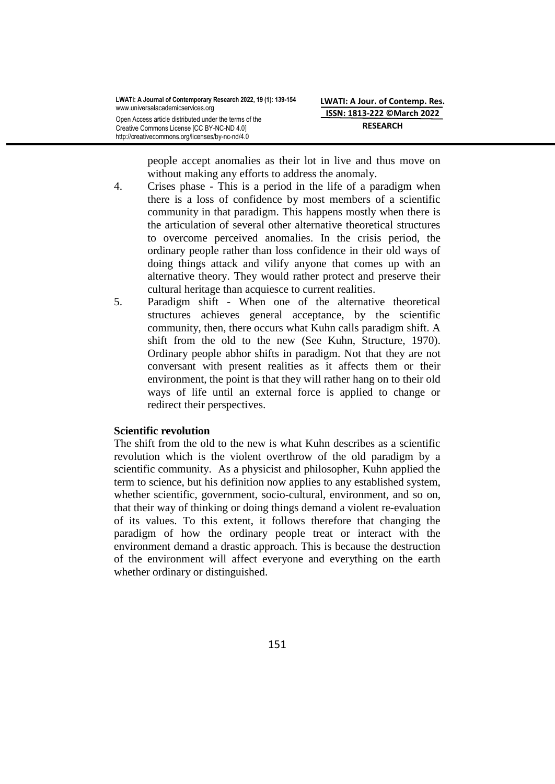people accept anomalies as their lot in live and thus move on without making any efforts to address the anomaly.

- 4. Crises phase This is a period in the life of a paradigm when there is a loss of confidence by most members of a scientific community in that paradigm. This happens mostly when there is the articulation of several other alternative theoretical structures to overcome perceived anomalies. In the crisis period, the ordinary people rather than loss confidence in their old ways of doing things attack and vilify anyone that comes up with an alternative theory. They would rather protect and preserve their cultural heritage than acquiesce to current realities.
- 5. Paradigm shift When one of the alternative theoretical structures achieves general acceptance, by the scientific community, then, there occurs what Kuhn calls paradigm shift. A shift from the old to the new (See Kuhn, Structure, 1970). Ordinary people abhor shifts in paradigm. Not that they are not conversant with present realities as it affects them or their environment, the point is that they will rather hang on to their old ways of life until an external force is applied to change or redirect their perspectives.

# **Scientific revolution**

The shift from the old to the new is what Kuhn describes as a scientific revolution which is the violent overthrow of the old paradigm by a scientific community. As a physicist and philosopher, Kuhn applied the term to science, but his definition now applies to any established system, whether scientific, government, socio-cultural, environment, and so on, that their way of thinking or doing things demand a violent re-evaluation of its values. To this extent, it follows therefore that changing the paradigm of how the ordinary people treat or interact with the environment demand a drastic approach. This is because the destruction of the environment will affect everyone and everything on the earth whether ordinary or distinguished.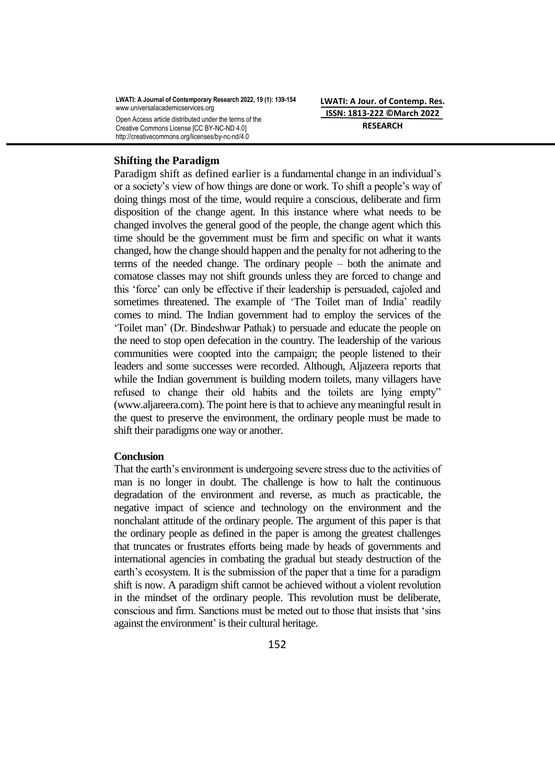**LWATI: A Journal of Contemporary Research 2022, 19 (1): 139-154** www.universalacademicservices.org Open Access article distributed under the terms of the Creative Commons License [CC BY-NC-ND 4.0] http://creativecommons.org/licenses/by-nc-nd/4.0

**LWATI: A Jour. of Contemp. Res. ISSN: 1813-222 ©March 2022 RESEARCH**

#### **Shifting the Paradigm**

Paradigm shift as defined earlier is a fundamental change in an individual"s or a society"s view of how things are done or work. To shift a people"s way of doing things most of the time, would require a conscious, deliberate and firm disposition of the change agent. In this instance where what needs to be changed involves the general good of the people, the change agent which this time should be the government must be firm and specific on what it wants changed, how the change should happen and the penalty for not adhering to the terms of the needed change. The ordinary people – both the animate and comatose classes may not shift grounds unless they are forced to change and this "force" can only be effective if their leadership is persuaded, cajoled and sometimes threatened. The example of 'The Toilet man of India' readily comes to mind. The Indian government had to employ the services of the "Toilet man" (Dr. Bindeshwar Pathak) to persuade and educate the people on the need to stop open defecation in the country. The leadership of the various communities were coopted into the campaign; the people listened to their leaders and some successes were recorded. Although, Aljazeera reports that while the Indian government is building modern toilets, many villagers have refused to change their old habits and the toilets are lying empty" (www.aljareera.com). The point here is that to achieve any meaningful result in the quest to preserve the environment, the ordinary people must be made to shift their paradigms one way or another.

#### **Conclusion**

That the earth's environment is undergoing severe stress due to the activities of man is no longer in doubt. The challenge is how to halt the continuous degradation of the environment and reverse, as much as practicable, the negative impact of science and technology on the environment and the nonchalant attitude of the ordinary people. The argument of this paper is that the ordinary people as defined in the paper is among the greatest challenges that truncates or frustrates efforts being made by heads of governments and international agencies in combating the gradual but steady destruction of the earth's ecosystem. It is the submission of the paper that a time for a paradigm shift is now. A paradigm shift cannot be achieved without a violent revolution in the mindset of the ordinary people. This revolution must be deliberate, conscious and firm. Sanctions must be meted out to those that insists that "sins against the environment' is their cultural heritage.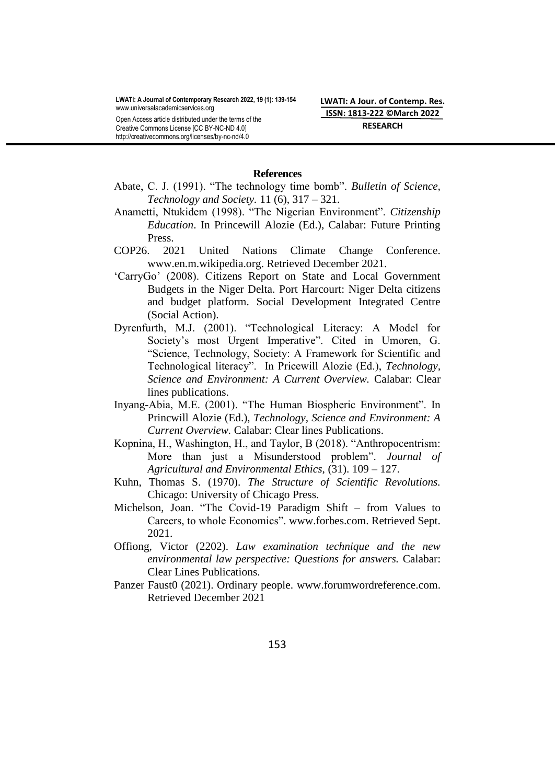Creative Commons License [CC BY-NC-ND 4.0] http://creativecommons.org/licenses/by-nc-nd/4.0 **LWATI: A Jour. of Contemp. Res. ISSN: 1813-222 ©March 2022 RESEARCH**

### **References**

- Abate, C. J. (1991). "The technology time bomb". *Bulletin of Science, Technology and Society.* 11 (6), 317 – 321.
- Anametti, Ntukidem (1998). "The Nigerian Environment". *Citizenship Education*. In Princewill Alozie (Ed.), Calabar: Future Printing Press.
- COP26. 2021 United Nations Climate Change Conference. [www.en.m.wikipedia.org.](http://www.en.m.wikipedia.org/) Retrieved December 2021.
- "CarryGo" (2008). Citizens Report on State and Local Government Budgets in the Niger Delta. Port Harcourt: Niger Delta citizens and budget platform. Social Development Integrated Centre (Social Action).
- Dyrenfurth, M.J. (2001). "Technological Literacy: A Model for Society's most Urgent Imperative". Cited in Umoren, G. "Science, Technology, Society: A Framework for Scientific and Technological literacy". In Pricewill Alozie (Ed.), *Technology, Science and Environment: A Current Overview.* Calabar: Clear lines publications.
- Inyang-Abia, M.E. (2001). "The Human Biospheric Environment". In Princwill Alozie (Ed.), *Technology, Science and Environment: A Current Overview.* Calabar: Clear lines Publications.
- Kopnina, H., Washington, H., and Taylor, B (2018). "Anthropocentrism: More than just a Misunderstood problem". *Journal of Agricultural and Environmental Ethics,* (31). 109 – 127.
- Kuhn, Thomas S. (1970). *The Structure of Scientific Revolutions.* Chicago: University of Chicago Press.
- Michelson, Joan. "The Covid-19 Paradigm Shift from Values to Careers, to whole Economics". [www.forbes.com.](http://www.forbes.com/) Retrieved Sept. 2021.
- Offiong, Victor (2202). *Law examination technique and the new environmental law perspective: Questions for answers.* Calabar: Clear Lines Publications.
- Panzer Faust0 (2021). Ordinary people. [www.forumwordreference.com.](http://www.forumwordreference.com/) Retrieved December 2021